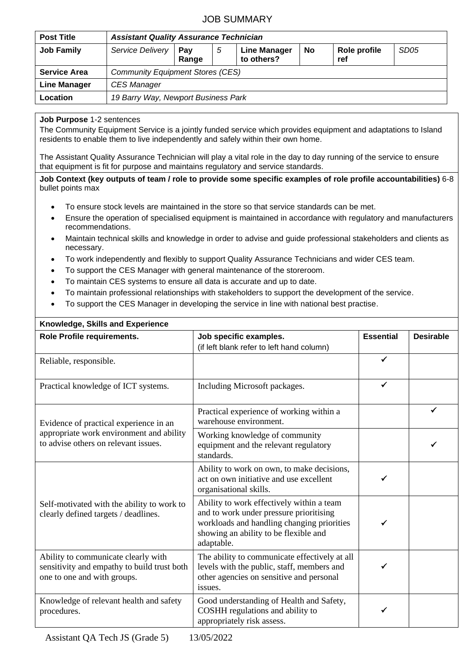## JOB SUMMARY

| <b>Post Title</b>   | <b>Assistant Quality Assurance Technician</b> |              |   |                                   |    |                     |                  |  |
|---------------------|-----------------------------------------------|--------------|---|-----------------------------------|----|---------------------|------------------|--|
| <b>Job Family</b>   | Service Delivery                              | Pav<br>Range | 5 | <b>Line Manager</b><br>to others? | No | Role profile<br>ref | SD <sub>05</sub> |  |
| <b>Service Area</b> | <b>Community Equipment Stores (CES)</b>       |              |   |                                   |    |                     |                  |  |
| <b>Line Manager</b> | <b>CES Manager</b>                            |              |   |                                   |    |                     |                  |  |
| Location            | 19 Barry Way, Newport Business Park           |              |   |                                   |    |                     |                  |  |

## **Job Purpose** 1-2 sentences

The Community Equipment Service is a jointly funded service which provides equipment and adaptations to Island residents to enable them to live independently and safely within their own home.

The Assistant Quality Assurance Technician will play a vital role in the day to day running of the service to ensure that equipment is fit for purpose and maintains regulatory and service standards.

**Job Context (key outputs of team / role to provide some specific examples of role profile accountabilities)** 6-8 bullet points max

- To ensure stock levels are maintained in the store so that service standards can be met.
- Ensure the operation of specialised equipment is maintained in accordance with regulatory and manufacturers recommendations.
- Maintain technical skills and knowledge in order to advise and guide professional stakeholders and clients as necessary.
- To work independently and flexibly to support Quality Assurance Technicians and wider CES team.
- To support the CES Manager with general maintenance of the storeroom.
- To maintain CES systems to ensure all data is accurate and up to date.
- To maintain professional relationships with stakeholders to support the development of the service.
- To support the CES Manager in developing the service in line with national best practise.

| Knowledge, Skills and Experience                                                                                  |                                                                                                                                                                                           |                  |                  |  |  |  |  |  |
|-------------------------------------------------------------------------------------------------------------------|-------------------------------------------------------------------------------------------------------------------------------------------------------------------------------------------|------------------|------------------|--|--|--|--|--|
| Role Profile requirements.                                                                                        | Job specific examples.<br>(if left blank refer to left hand column)                                                                                                                       | <b>Essential</b> | <b>Desirable</b> |  |  |  |  |  |
| Reliable, responsible.                                                                                            |                                                                                                                                                                                           | $\checkmark$     |                  |  |  |  |  |  |
| Practical knowledge of ICT systems.                                                                               | Including Microsoft packages.                                                                                                                                                             | $\checkmark$     |                  |  |  |  |  |  |
| Evidence of practical experience in an                                                                            | Practical experience of working within a<br>warehouse environment.                                                                                                                        |                  | ✓                |  |  |  |  |  |
| appropriate work environment and ability<br>to advise others on relevant issues.                                  | Working knowledge of community<br>equipment and the relevant regulatory<br>standards.                                                                                                     |                  |                  |  |  |  |  |  |
|                                                                                                                   | Ability to work on own, to make decisions,<br>act on own initiative and use excellent<br>organisational skills.                                                                           |                  |                  |  |  |  |  |  |
| Self-motivated with the ability to work to<br>clearly defined targets / deadlines.                                | Ability to work effectively within a team<br>and to work under pressure prioritising<br>workloads and handling changing priorities<br>showing an ability to be flexible and<br>adaptable. |                  |                  |  |  |  |  |  |
| Ability to communicate clearly with<br>sensitivity and empathy to build trust both<br>one to one and with groups. | The ability to communicate effectively at all<br>levels with the public, staff, members and<br>other agencies on sensitive and personal<br>issues.                                        |                  |                  |  |  |  |  |  |
| Knowledge of relevant health and safety<br>procedures.                                                            | Good understanding of Health and Safety,<br>COSHH regulations and ability to<br>appropriately risk assess.                                                                                |                  |                  |  |  |  |  |  |